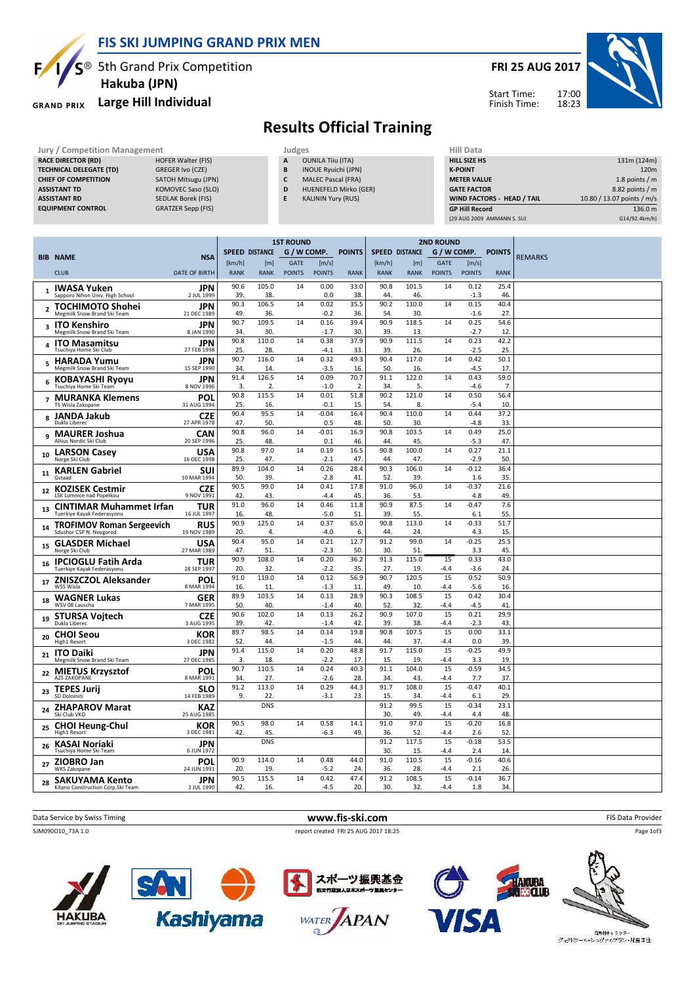

#### FIS SKI JUMPING GRAND PRIX MEN

 $S^{\circledast}$  5th Grand Prix Competition Hakuba (JPN)

#### Large Hill Individual **GRAND PRIX**



# Results Official Training

| Jury / Competition Management  |                           |   | Judges                     |  |                      |  |  |
|--------------------------------|---------------------------|---|----------------------------|--|----------------------|--|--|
| <b>RACE DIRECTOR (RD)</b>      | <b>HOFER Walter (FIS)</b> | A | <b>OUNILA Tiiu (ITA)</b>   |  | <b>HILL SIZE H</b>   |  |  |
| <b>TECHNICAL DELEGATE (TD)</b> | GREGER Ivo (CZE)          | B | <b>INOUE Ryuichi (JPN)</b> |  | <b>K-POINT</b>       |  |  |
| <b>CHIEF OF COMPETITION</b>    | SATOH Mitsugu (JPN)       | c | <b>MALEC Pascal (FRA)</b>  |  | <b>METER VAI</b>     |  |  |
| <b>ASSISTANT TD</b>            | KOMOVEC Saso (SLO)        | D | HUENEFELD Mirko (GER)      |  | <b>GATE FACT</b>     |  |  |
| <b>ASSISTANT RD</b>            | <b>SEDLAK Borek (FIS)</b> |   | <b>KALININ Yury (RUS)</b>  |  | <b>WIND FACT</b>     |  |  |
| <b>EQUIPMENT CONTROL</b>       | <b>GRATZER Sepp (FIS)</b> |   |                            |  | <b>GP Hill Rec</b>   |  |  |
|                                |                           |   |                            |  | <b>129 ALIG 2009</b> |  |  |

| niil Data                         |                            |
|-----------------------------------|----------------------------|
| <b>HILL SIZE HS</b>               | 131m (124m)                |
| <b>K-POINT</b>                    | 120 <sub>m</sub>           |
| <b>METER VALUE</b>                | 1.8 points $/m$            |
| <b>GATE FACTOR</b>                | 8.82 points / m            |
| <b>WIND FACTORS - HEAD / TAIL</b> | 10.80 / 13.07 points / m/s |
| <b>GP Hill Record</b>             | 136.0 m                    |
| (29 AUG 2009 AMMANN S. SUI        | G14/92.4km/h)              |

|                |                                                                |                           | <b>1ST ROUND</b>      |                    |                              |                        |               | <b>2ND ROUND</b>      |                       |                              |                        |               |                |
|----------------|----------------------------------------------------------------|---------------------------|-----------------------|--------------------|------------------------------|------------------------|---------------|-----------------------|-----------------------|------------------------------|------------------------|---------------|----------------|
|                | <b>BIB NAME</b>                                                | <b>NSA</b>                | <b>SPEED DISTANCE</b> |                    | G / W COMP.                  |                        | <b>POINTS</b> |                       | <b>SPEED DISTANCE</b> | G / W COMP.                  |                        | <b>POINTS</b> | <b>REMARKS</b> |
|                | <b>CLUB</b>                                                    | DATE OF BIRTH             | [km/h]<br><b>RANK</b> | [m]<br><b>RANK</b> | <b>GATE</b><br><b>POINTS</b> | [m/s]<br><b>POINTS</b> | <b>RANK</b>   | [km/h]<br><b>RANK</b> | [m]<br><b>RANK</b>    | <b>GATE</b><br><b>POINTS</b> | [m/s]<br><b>POINTS</b> | <b>RANK</b>   |                |
|                |                                                                |                           |                       | 105.0              | 14                           | 0.00                   | 33.0          |                       | 101.5                 |                              |                        |               |                |
| 1              | <b>IWASA Yuken</b><br>Sapporo Nihon Univ. High School          | <b>JPN</b><br>2 JUL 1999  | 90.6<br>39            | 38                 |                              | 0.0                    | 38            | 90.8<br>44.           | 46.                   | 14                           | 0.12<br>$-1.3$         | 25.4<br>46.   |                |
| $\overline{2}$ | <b>TOCHIMOTO Shohei</b>                                        | JPN                       | 90.3                  | 106.5              | 14                           | 0.02                   | 35.5          | 90.2                  | 110.0                 | 14                           | 0.15                   | 40.4          |                |
|                | Megmilk Snow Brand Ski Team                                    | 21 DEC 1989               | 49<br>90.7            | 36.<br>109.5       | 14                           | $-0.2$<br>0.16         | 36.<br>39.4   | 54.<br>90.9           | 30.<br>118.5          | 14                           | $-1.6$<br>0.25         | 27.<br>54.6   |                |
|                | 3 ITO Kenshiro<br>Megmilk Snow Brand Ski Team                  | <b>JPN</b><br>8 JAN 1990  | 34                    | 30                 |                              | $-1.7$                 | 30            | 39                    | 13                    |                              | $-2.7$                 | 12            |                |
|                | <b>ITO Masamitsu</b><br>Tsuchiya Home Ski Club                 | <b>JPN</b><br>27 FEB 1998 | 90.8<br>25.           | 110.0<br>28        | 14                           | 0.38<br>$-4.1$         | 37.9<br>33    | 90.9<br>39            | 111.5<br>26.          | 14                           | 0.23<br>$-2.5$         | 42.2<br>25.   |                |
| 5              | <b>HARADA Yumu</b><br>Megmilk Snow Brand Ski Team              | JPN<br>15 SEP 1990        | 90.7<br>34.           | 116.0<br>14.       | 14                           | 0.32<br>$-3.5$         | 49.3<br>16.   | 90.4<br>50            | 117.0<br>16.          | 14                           | 0.42<br>$-4.5$         | 50.1<br>17.   |                |
| 6              | <b>KOBAYASHI Rvovu</b><br>Tsuchiya Home Ski Team               | <b>JPN</b><br>8 NOV 1996  | 91.4<br>3.            | 126.5<br>2.        | 14                           | 0.09<br>$-1.0$         | 70.7<br>2.    | 91.1<br>34.           | 122.0<br>5.           | 14                           | 0.43<br>$-4.6$         | 59.0<br>7.    |                |
|                | <b>MURANKA Klemens</b><br>TS Wisla Zakopane                    | POL<br>31 AUG 1994        | 90.8<br>25.           | 115.5<br>16        | 14                           | 0.01<br>$-0.1$         | 51.8<br>15    | 90.2<br>54.           | 121.0<br>8.           | 14                           | 0.50<br>$-5.4$         | 56.4<br>10.   |                |
|                | <b>JANDA Jakub</b><br>8<br>Dukla Liberec                       | <b>CZE</b><br>27 APR 1978 | 90.4<br>47.           | 95.5<br>50         | 14                           | $-0.04$<br>0.5         | 16.4<br>48    | 90.4<br>50            | 110.0<br>30.          | 14                           | 0.44<br>$-4.8$         | 37.2<br>33.   |                |
| 9              | <b>MAURER Joshua</b><br>Altius Nordic Ski Club                 | CAN<br>20 SEP 1996        | 90.8<br>25.           | 96.0<br>48         | 14                           | $-0.01$<br>0.1         | 16.9<br>46    | 90.8<br>44.           | 103.5<br>45.          | 14                           | 0.49<br>$-5.3$         | 25.0<br>47    |                |
| 10             | <b>LARSON Casey</b><br>Norge Ski Club                          | <b>USA</b><br>16 DEC 1998 | 90.8<br>25.           | 97.0<br>47.        | 14                           | 0.19<br>$-2.1$         | 16.5<br>47    | 90.8<br>44.           | 100.0<br>47.          | 14                           | 0.27<br>$-2.9$         | 21.1<br>50.   |                |
| 11             | <b>KARLEN Gabriel</b>                                          | SUI                       | 89.9                  | 104.0              | 14                           | 0.26                   | 28.4          | 90.3                  | 106.0                 | 14                           | $-0.12$                | 36.4          |                |
|                | Gstaad                                                         | 10 MAR 1994               | 50.<br>90.5           | 39<br>99.0         | 14                           | $-2.8$<br>0.41         | 41<br>17.8    | 52.<br>91.0           | 39.<br>96.0           | 14                           | 1.6<br>$-0.37$         | 35.<br>21.6   |                |
| 12             | <b>KOZISEK Cestmir</b><br><b>LSK Lomnice nad Popelkou</b>      | <b>CZE</b><br>9 NOV 1991  | 42.                   | 43                 |                              | $-4.4$                 | 45            | 36.                   | 53.                   |                              | 4.8                    | 49.           |                |
| 13             | <b>CINTIMAR Muhammet Irfan</b>                                 | <b>TUR</b>                | 91.0                  | 96.0               | 14                           | 0.46                   | 11.8          | 90.9                  | 87.5                  | 14                           | $-0.47$                | 7.6           |                |
|                | Tuerkiye Kayak Federasyonu<br><b>TROFIMOV Roman Sergeevich</b> | 16 JUL 1997<br><b>RUS</b> | 16.<br>90.9           | 48.<br>125.0       | 14                           | $-5.0$<br>0.37         | 51<br>65.0    | 39.<br>90.8           | 55.<br>113.0          | 14                           | 6.1<br>$-0.33$         | 55.<br>51.7   |                |
| 14             | Sdushor CSP N. Novgorod                                        | 19 NOV 1989               | 20.                   | 4                  |                              | $-4.0$                 | 6.            | 44                    | 24                    |                              | 4.3                    | 15            |                |
| 15             | <b>GLASDER Michael</b>                                         | <b>USA</b><br>27 MAR 1989 | 90.4<br>47.           | 95.0<br>51.        | 14                           | 0.21<br>$-2.3$         | 12.7<br>50    | 91.2<br>30.           | 99.0<br>51            | 14                           | $-0.25$                | 25.5<br>45.   |                |
|                | Norge Ski Club<br><b>IPCIOGLU Fatih Arda</b>                   | <b>TUR</b>                | 90.9                  | 108.0              | 14                           | 0.20                   | 36.2          | 91.3                  | 115.0                 | 15                           | 3.3<br>0.33            | 43.0          |                |
| 16             | Tuerkiye Kayak Federasyonu                                     | 28 SEP 1997               | 20.                   | 32.                |                              | $-2.2$                 | 35            | 27.                   | 19.                   | $-4.4$                       | $-3.6$                 | 24.           |                |
| 17             | <b>ZNISZCZOL Aleksander</b><br>WSS Wisla                       | POL<br>8 MAR 1994         | 91.0<br>16.           | 119.0<br>11.       | 14                           | 0.12<br>$-1.3$         | 56.9<br>11    | 90.7<br>49.           | 120.5<br>10.          | 15<br>$-4.4$                 | 0.52<br>$-5.6$         | 50.9<br>16.   |                |
| 18             | <b>WAGNER Lukas</b><br>WSV 08 Lauscha                          | <b>GER</b><br>7 MAR 1995  | 89.9<br>50            | 103.5<br>40        | 14                           | 0.13<br>$-1.4$         | 28.9<br>40    | 90.3<br>52            | 108.5<br>32           | $\overline{15}$<br>-4.4      | 0.42<br>$-4.5$         | 30.4<br>41    |                |
| 19             | <b>STURSA Voitech</b>                                          | <b>CZE</b>                | 90.6                  | 102.0              | 14                           | 0.13                   | 26.2          | 90.9                  | 107.0                 | 15                           | 0.21                   | 29.9          |                |
|                | Dukla Liberec                                                  | 3 AUG 1995                | 39.<br>89.7           | 42.<br>98.5        | 14                           | $-1.4$<br>0.14         | 42<br>19.8    | 39.<br>90.8           | 38.<br>107.5          | $-4.4$<br>15                 | $-2.3$<br>0.00         | 43.<br>33.1   |                |
| 20             | <b>CHOI Seou</b><br>High1 Resort                               | KOR<br>3 DEC 1982         | 52.                   | 44                 |                              | $-1.5$                 | 44            | 44.                   | 37.                   | $-4.4$                       | 0.0                    | 39            |                |
| 21             | <b>ITO Daiki</b><br>Megmilk Snow Brand Ski Team                | JPN<br>27 DEC 1985        | 91.4<br>3.            | 115.0<br>18.       | 14                           | 0.20<br>$-2.2$         | 48.8<br>17.   | 91.7<br>15.           | 115.0<br>19.          | 15<br>-4.4                   | $-0.25$<br>3.3         | 49.9<br>19.   |                |
| 22             | <b>MIETUS Krzysztof</b><br><b>A7S 7AKOPANE</b>                 | <b>POL</b><br>8 MAR 1991  | 90.7<br>34.           | 110.5<br>27.       | 14                           | 0.24<br>$-2.6$         | 40.3<br>28    | 91.1<br>34            | 104.0<br>43.          | 15<br>$-4.4$                 | $-0.59$<br>7.7         | 34.5<br>37    |                |
| 23             | <b>TEPES Jurii</b><br>SD Dolomiti                              | SLO<br>14 FEB 1989        | 91.2<br>9.            | 113.0<br>22.       | 14                           | 0.29<br>$-3.1$         | 44.3<br>23.   | 91.7<br>15.           | 108.0<br>34.          | 15<br>$-4.4$                 | $-0.47$<br>6.1         | 40.1<br>29.   |                |
| 24             | <b>ZHAPAROV Marat</b><br>Ski Club VKO                          | <b>KAZ</b><br>25 AUG 1985 |                       | <b>DNS</b>         |                              |                        |               | 91.2<br>30.           | 99.5<br>49.           | 15<br>$-4.4$                 | $-0.34$<br>4.4         | 23.1<br>48.   |                |
| 25             | <b>CHOI Heung-Chul</b><br>High1 Resort                         | KOR<br>3 DEC 1981         | 90.5<br>42            | 98.0<br>45         | 14                           | 0.58<br>-6.3           | 14.1<br>49    | 91.0<br>36.           | 97.0<br>52.           | 15<br>$-4.4$                 | $-0.20$<br>2.6         | 16.8<br>52.   |                |
| 26             | <b>KASAI Noriaki</b><br>Tsuchiya Home Ski Team                 | <b>JPN</b><br>6 JUN 1972  |                       | <b>DNS</b>         |                              |                        |               | 91.2<br>30.           | 117.5<br>15.          | 15<br>$-4.4$                 | $-0.18$<br>2.4         | 53.5<br>14.   |                |
| 27             | <b>ZIOBRO Jan</b><br><b>WKS Zakopane</b>                       | POL<br>24 JUN 1991        | 90.9<br>20.           | 114.0<br>19        | 14                           | 0.48<br>$-5.2$         | 44.0<br>24    | 91.0<br>36.           | 110.5<br>28.          | 15<br>$-4.4$                 | $-0.16$<br>2.1         | 40.6<br>26.   |                |
| 28             | <b>SAKUYAMA Kento</b><br>Kitano Construction Corp.Ski Team     | JPN<br>3 JUL 1990         | 90.5<br>42.           | 115.5<br>16.       | 14                           | 0.42<br>$-4.5$         | 47.4<br>20.   | 91.2<br>30.           | 108.5<br>32.          | 15<br>$-4.4$                 | $-0.14$<br>1.8         | 36.7<br>34.   |                |
|                |                                                                |                           |                       |                    |                              |                        |               |                       |                       |                              |                        |               |                |

Data Service by Swiss Timing **Example 2018 WWW.fis-ski.com WWW.fis-Ski.com** FIS Data Provider SJM090O10\_73A 1.0 report created FRI 25 AUG 2017 18:25











Page 1of3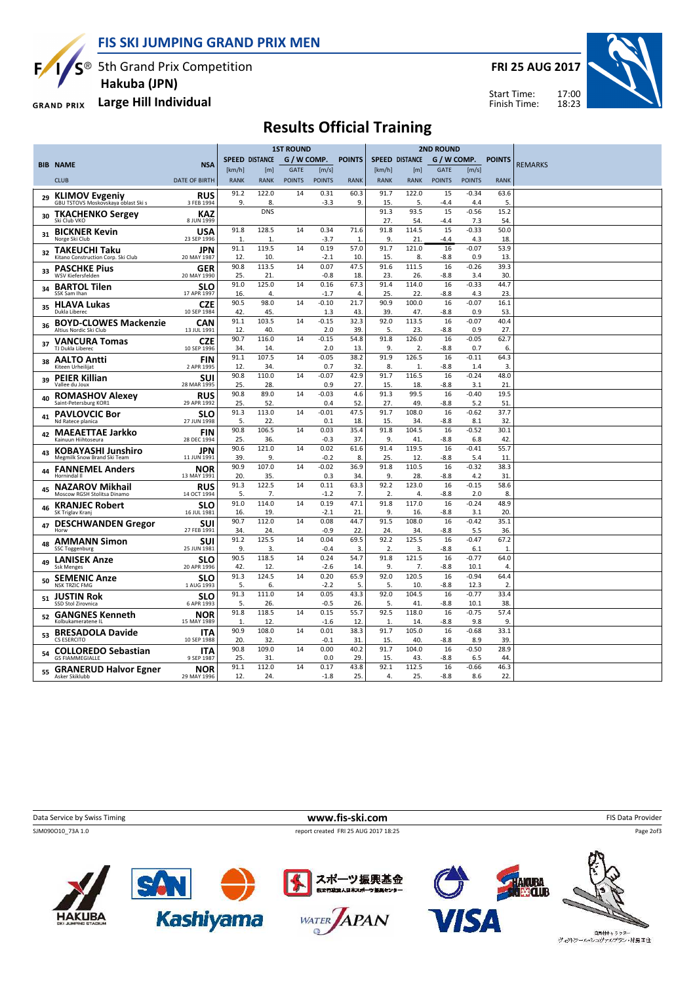FIS SKI JUMPING GRAND PRIX MEN



 $S^{\circledast}$  5th Grand Prix Competition Hakuba (JPN)

Large Hill Individual **GRAND PRIX** 

FRI 25 AUG 2017

Start Time: Finish Time:



### Results Official Training

|    |                                                              |                           | <b>1ST ROUND</b>      |              |               |                |                      | <b>2ND ROUND</b>      |              |               |                 |                        |                |
|----|--------------------------------------------------------------|---------------------------|-----------------------|--------------|---------------|----------------|----------------------|-----------------------|--------------|---------------|-----------------|------------------------|----------------|
|    |                                                              |                           | <b>SPEED DISTANCE</b> |              | G / W COMP.   |                | <b>POINTS</b>        | <b>SPEED DISTANCE</b> |              | G / W COMP.   |                 | <b>POINTS</b>          |                |
|    | <b>BIB NAME</b>                                              | <b>NSA</b>                | [km/h]                | [m]          | <b>GATE</b>   | [m/s]          |                      | [km/h]                | [m]          | <b>GATE</b>   | [m/s]           |                        | <b>REMARKS</b> |
|    | <b>CLUB</b>                                                  | <b>DATE OF BIRTH</b>      | <b>RANK</b>           | <b>RANK</b>  | <b>POINTS</b> | <b>POINTS</b>  | <b>RANK</b>          | <b>RANK</b>           | <b>RANK</b>  | <b>POINTS</b> | <b>POINTS</b>   | <b>RANK</b>            |                |
| 29 | <b>KLIMOV Evgeniy</b><br>GBU TSTOVS Moskovskaya oblast Ski s | <b>RUS</b><br>3 FEB 1994  | 91.2<br>9.            | 122.0<br>8.  | 14            | 0.31<br>$-3.3$ | 60.3<br>9.           | 91.7<br>15.           | 122.0<br>5.  | 15<br>$-4.4$  | $-0.34$<br>4.4  | 63.6<br>5.             |                |
| 30 | <b>TKACHENKO Sergey</b><br>Ski Club VKO                      | <b>KAZ</b><br>8 JUN 1999  |                       | <b>DNS</b>   |               |                |                      | 91.3<br>27.           | 93.5<br>54.  | 15<br>-4.4    | $-0.56$<br>7.3  | 15.2<br>54.            |                |
|    | 31 BICKNER Kevin<br>Norge Ski Club                           | USA<br>23 SEP 1996        | 91.8<br>1.            | 128.5<br>1.  | 14            | 0.34<br>$-3.7$ | 71.6<br>$\mathbf{1}$ | 91.8<br>9.            | 114.5<br>21  | 15<br>-4.4    | $-0.33$<br>4.3  | 50.0<br>18.            |                |
| 32 | <b>TAKEUCHI Taku</b><br>Kitano Construction Corp. Ski Club   | JPN<br>20 MAY 1987        | 91.1<br>12.           | 119.5<br>10. | 14            | 0.19<br>$-2.1$ | 57.0<br>10.          | 91.7<br>15.           | 121.0<br>8.  | 16<br>$-8.8$  | $-0.07$<br>0.9  | 53.9<br>13.            |                |
| 33 | <b>PASCHKE Pius</b><br>WSV Kiefersfelden                     | GER<br>20 MAY 1990        | 90.8<br>25            | 113.5<br>21. | 14            | 0.07<br>$-0.8$ | 47.5<br>18           | 91.6<br>23            | 111.5<br>26. | 16<br>-8.8    | $-0.26$<br>3.4  | 39.3<br>30.            |                |
| 34 | <b>BARTOL Tilen</b><br>SSK Sam Ihan                          | <b>SLO</b><br>17 APR 1997 | 91.0<br>16            | 125.0<br>4.  | 14            | 0.16<br>$-1.7$ | 67.3<br>4.           | 91.4<br>25.           | 114.0<br>22. | 16<br>$-8.8$  | $-0.33$<br>4.3  | 44.7<br>23.            |                |
| 35 | <b>HLAVA Lukas</b><br>Dukla Liberec                          | <b>CZE</b><br>10 SEP 1984 | 90.5<br>42.           | 98.0<br>45.  | 14            | $-0.10$<br>1.3 | 21.7<br>43.          | 90.9<br>39.           | 100.0<br>47. | 16<br>$-8.8$  | $-0.07$<br>0.9  | 16.1<br>53.            |                |
| 36 | <b>BOYD-CLOWES Mackenzie</b><br>Altius Nordic Ski Club       | CAN<br>13 JUL 1991        | 91.1<br>12.           | 103.5<br>40. | 14            | $-0.15$<br>2.0 | 32.3<br>39           | 92.0<br>5.            | 113.5<br>23. | 16<br>$-8.8$  | $-0.07$<br>0.9  | 40.4<br>27.            |                |
| 37 | <b>VANCURA Tomas</b><br>TJ Dukla Liberec                     | <b>CZE</b><br>10 SEP 1996 | 90.7<br>34            | 116.0<br>14. | 14            | $-0.15$<br>2.0 | 54.8<br>13           | 91.8<br>9.            | 126.0<br>2.  | 16<br>$-8.8$  | $-0.05$<br>0.7  | 62.7<br>6.             |                |
| 38 | <b>AALTO Antti</b><br>Kiteen Urheilijat                      | <b>FIN</b><br>2 APR 1995  | 91.1<br>12            | 107.5<br>34. | 14            | $-0.05$<br>0.7 | 38.2<br>32           | 91.9<br>8.            | 126.5<br>1.  | 16<br>$-8.8$  | $-0.11$<br>1.4  | 64.3<br>$\overline{3}$ |                |
| 39 | <b>PEIER Killian</b><br>Vallee du Joux                       | SUI<br>28 MAR 1995        | 90.8<br>25.           | 110.0<br>28. | 14            | $-0.07$<br>0.9 | 42.9<br>27.          | 91.7<br>15.           | 116.5<br>18. | 16<br>$-8.8$  | $-0.24$<br>3.1  | 48.0<br>21             |                |
| 40 | <b>ROMASHOV Alexey</b><br>Saint-Petersburg KOR1              | <b>RUS</b><br>29 APR 1992 | 90.8<br>25.           | 89.0<br>52.  | 14            | $-0.03$<br>0.4 | 4.6<br>52.           | 91.3<br>27.           | 99.5<br>49.  | 16<br>$-8.8$  | $-0.40$<br>5.2  | 19.5<br>51             |                |
| 41 | <b>PAVLOVCIC Bor</b><br>Nd Ratece planica                    | <b>SLO</b><br>27 JUN 1998 | 91.3<br>5.            | 113.0<br>22. | 14            | $-0.01$<br>0.1 | 47.5<br>18           | 91.7<br>15.           | 108.0<br>34. | 16<br>$-8.8$  | $-0.62$<br>8.1  | 37.7<br>32.            |                |
| 42 | <b>MAEAETTAE Jarkko</b><br>Kainuun Hiihtoseura               | <b>FIN</b><br>28 DEC 1994 | 90.8<br>25            | 106.5<br>36. | 14            | 0.03<br>-0.3   | 35.4<br>37           | 91.8<br>9.            | 104.5<br>41  | 16<br>-8.8    | $-0.52$<br>6.8  | 30.1<br>42.            |                |
| 43 | <b>KOBAYASHI Junshiro</b><br>Megmilk Snow Brand Ski Team     | <b>JPN</b><br>11 JUN 1991 | 90.6<br>39.           | 121.0<br>9.  | 14            | 0.02<br>$-0.2$ | 61.6<br>8.           | 91.4<br>25.           | 119.5<br>12  | 16<br>-8.8    | $-0.41$<br>5.4  | 55.7<br>11.            |                |
|    | 44 FANNEMEL Anders<br>Hornindal II                           | <b>NOR</b><br>13 MAY 1991 | 90.9<br>20            | 107.0<br>35. | 14            | $-0.02$<br>0.3 | 36.9<br>34           | 91.8<br>9.            | 110.5<br>28. | 16<br>$-8.8$  | $-0.32$<br>4.2  | 38.3<br>31.            |                |
|    | <b>NAZAROV Mikhail</b><br>Moscow RGSH Stolitsa Dinamo        | <b>RUS</b><br>14 OCT 1994 | 91.3<br>5.            | 122.5<br>7.  | 14            | 0.11<br>$-1.2$ | 63.3<br>7.           | 92.2<br>2.            | 123.0<br>4.  | 16<br>$-8.8$  | $-0.15$<br>2.0  | 58.6<br>8.             |                |
| 46 | <b>KRANJEC Robert</b><br>SK Triglav Kranj                    | <b>SLO</b><br>16 JUL 1981 | 91.0<br>16            | 114.0<br>19. | 14            | 0.19<br>$-2.1$ | 47.1<br>21           | 91.8<br>9.            | 117.0<br>16. | 16<br>$-8.8$  | $-0.24$<br>3.1  | 48.9<br>20.            |                |
| 47 | <b>DESCHWANDEN Gregor</b><br>Horw                            | SUI<br>27 FEB 1991        | 90.7<br>34.           | 112.0<br>24. | 14            | 0.08<br>$-0.9$ | 44.7<br>22           | 91.5<br>24.           | 108.0<br>34. | 16<br>$-8.8$  | $-0.42$<br>5.5  | 35.1<br>36.            |                |
| 48 | <b>AMMANN Simon</b><br><b>SSC Toggenburg</b>                 | SUI<br>25 JUN 1981        | 91.2<br>9.            | 125.5<br>3.  | 14            | 0.04<br>$-0.4$ | 69.5<br>3.           | 92.2<br>2.            | 125.5<br>3.  | 16<br>$-8.8$  | $-0.47$<br>6.1  | 67.2<br>$\mathbf{1}$   |                |
| 49 | <b>LANISEK Anze</b><br><b>Ssk Menges</b>                     | <b>SLO</b><br>20 APR 1996 | 90.5<br>42            | 118.5<br>12. | 14            | 0.24<br>$-2.6$ | 54.7<br>14           | 91.8<br>9.            | 121.5<br>7.  | 16<br>-8.8    | $-0.77$<br>10.1 | 64.0<br>4.             |                |
| 50 | <b>SEMENIC Anze</b><br><b>NSK TRZIC FMG</b>                  | <b>SLO</b><br>1 AUG 1993  | 91.3<br>5.            | 124.5<br>6.  | 14            | 0.20<br>$-2.2$ | 65.9<br>5.           | 92.0<br>5.            | 120.5<br>10. | 16<br>-8.8    | $-0.94$<br>12.3 | 64.4<br>$\overline{2}$ |                |
| 51 | <b>JUSTIN Rok</b><br><b>SSD Stol Zirovnica</b>               | <b>SLO</b><br>6 APR 1993  | 91.3<br>5.            | 111.0<br>26. | 14            | 0.05<br>$-0.5$ | 43.3<br>26           | 92.0<br>5.            | 104.5<br>41  | 16<br>-8.8    | $-0.77$<br>10.1 | 33.4<br>38.            |                |
| 52 | <b>GANGNES Kenneth</b><br>Kolbukameratene IL                 | <b>NOR</b><br>15 MAY 1989 | 91.8<br>1.            | 118.5<br>12. | 14            | 0.15<br>$-1.6$ | 55.7<br>12.          | 92.5<br>1.            | 118.0<br>14. | 16<br>$-8.8$  | $-0.75$<br>9.8  | 57.4<br>9.             |                |
|    | 53 BRESADOLA Davide<br>CS ESERCITO                           | <b>ITA</b><br>10 SEP 1988 | 90.9<br>20            | 108.0<br>32. | 14            | 0.01<br>$-0.1$ | 38.3<br>31           | 91.7<br>15.           | 105.0<br>40. | 16<br>$-8.8$  | $-0.68$<br>8.9  | 33.1<br>39.            |                |
|    | 54 COLLOREDO Sebastian<br><b>GS FIAMMEGIALLE</b>             | <b>ITA</b><br>9 SEP 1987  | 90.8<br>25.           | 109.0<br>31. | 14            | 0.00<br>0.0    | 40.2<br>29           | 91.7<br>15.           | 104.0<br>43. | 16<br>$-8.8$  | $-0.50$<br>6.5  | 28.9<br>44.            |                |
|    |                                                              | <b>NOR</b>                | 91.1                  | 112.0        | 14            | 0.17           | 43.8                 | 92.1                  | 112.5        | 16            | $-0.66$         | 46.3                   |                |
|    | <sub>55</sub> GRANERUD Halvor Egner<br>Asker Skiklubb        | 29 MAY 1996               | 12.                   | 24.          |               | $-1.8$         | 25.                  | 4.                    | 25.          | $-8.8$        | 8.6             | 22.                    |                |









ーーーーー<br>ヴィクトワール・シュヴァルプラン・村男Ⅲ世